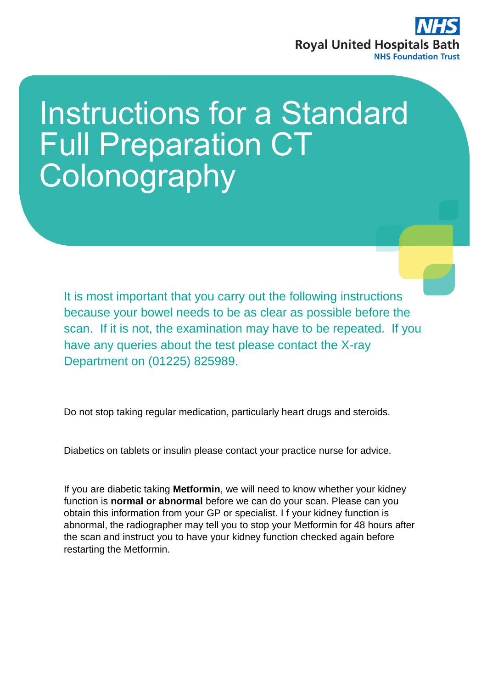

# Instructions for a Standard Full Preparation CT **Colonography**

It is most important that you carry out the following instructions because your bowel needs to be as clear as possible before the scan. If it is not, the examination may have to be repeated. If you have any queries about the test please contact the X-ray Department on (01225) 825989.

Do not stop taking regular medication, particularly heart drugs and steroids.

Diabetics on tablets or insulin please contact your practice nurse for advice.

If you are diabetic taking **Metformin**, we will need to know whether your kidney function is **normal or abnormal** before we can do your scan. Please can you obtain this information from your GP or specialist. I f your kidney function is abnormal, the radiographer may tell you to stop your Metformin for 48 hours after the scan and instruct you to have your kidney function checked again before restarting the Metformin.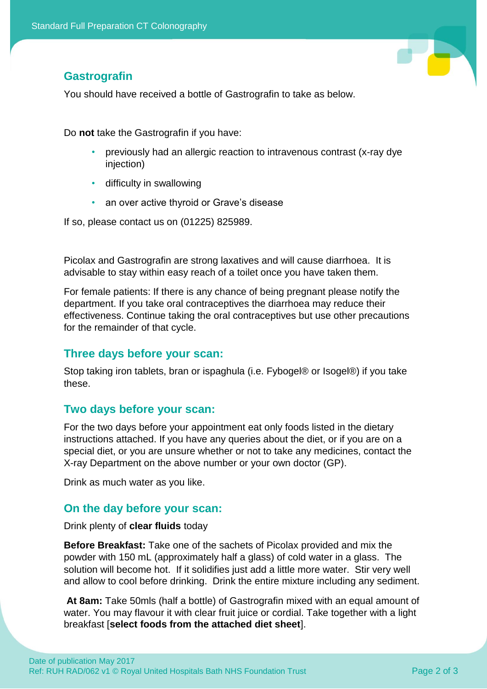**Gastrografin**

You should have received a bottle of Gastrografin to take as below.

Do **not** take the Gastrografin if you have:

- previously had an allergic reaction to intravenous contrast (x-ray dye injection)
- difficulty in swallowing
- an over active thyroid or Grave's disease

If so, please contact us on (01225) 825989.

Picolax and Gastrografin are strong laxatives and will cause diarrhoea. It is advisable to stay within easy reach of a toilet once you have taken them.

For female patients: If there is any chance of being pregnant please notify the department. If you take oral contraceptives the diarrhoea may reduce their effectiveness. Continue taking the oral contraceptives but use other precautions for the remainder of that cycle.

# **Three days before your scan:**

Stop taking iron tablets, bran or ispaghula (i.e. Fybogel® or Isogel®) if you take these.

# **Two days before your scan:**

For the two days before your appointment eat only foods listed in the dietary instructions attached. If you have any queries about the diet, or if you are on a special diet, or you are unsure whether or not to take any medicines, contact the X-ray Department on the above number or your own doctor (GP).

Drink as much water as you like.

# **On the day before your scan:**

Drink plenty of **clear fluids** today

**Before Breakfast:** Take one of the sachets of Picolax provided and mix the powder with 150 mL (approximately half a glass) of cold water in a glass. The solution will become hot. If it solidifies just add a little more water. Stir very well and allow to cool before drinking. Drink the entire mixture including any sediment.

**At 8am:** Take 50mls (half a bottle) of Gastrografin mixed with an equal amount of water. You may flavour it with clear fruit juice or cordial. Take together with a light breakfast [**select foods from the attached diet sheet**].

T